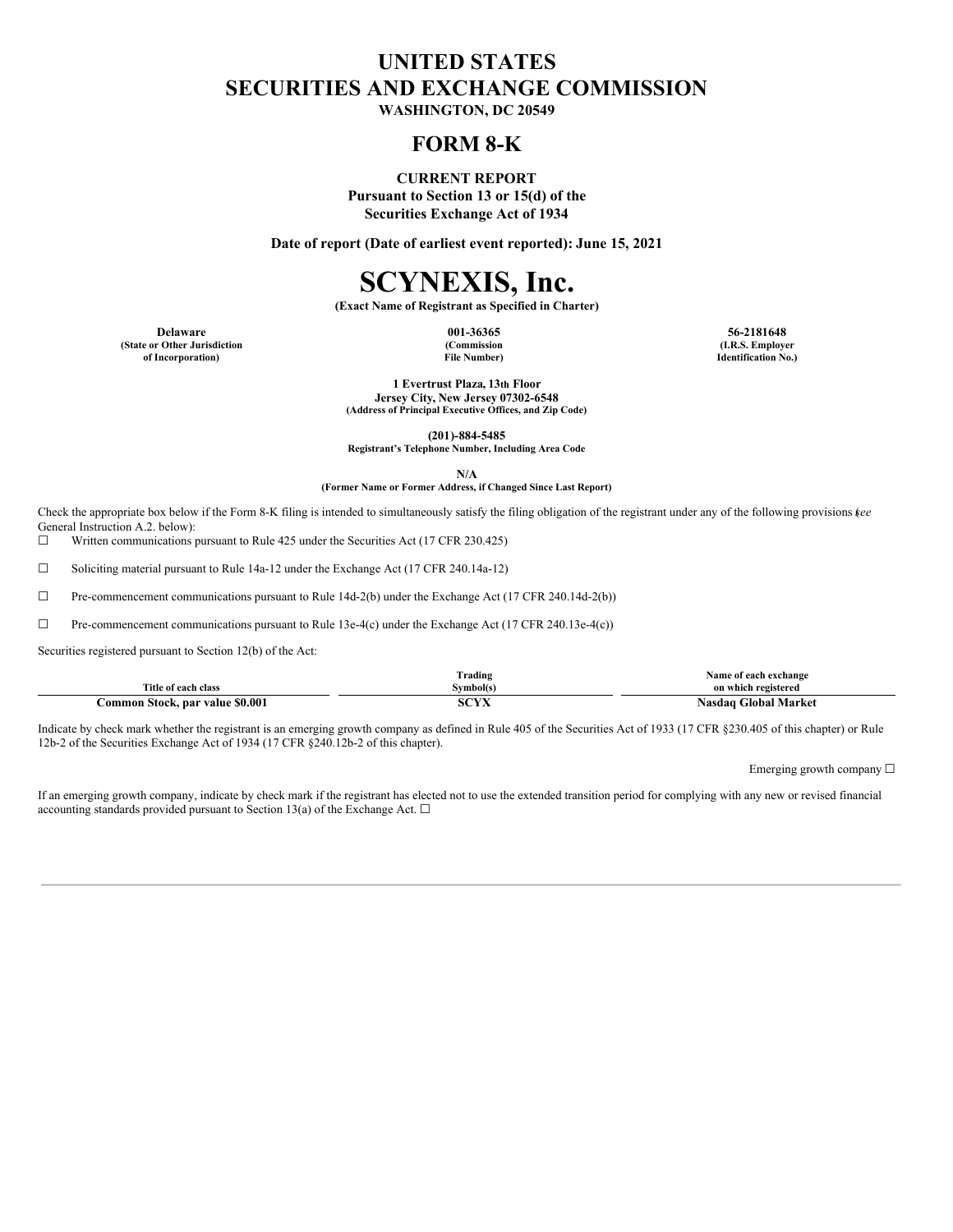## **UNITED STATES SECURITIES AND EXCHANGE COMMISSION**

**WASHINGTON, DC 20549**

### **FORM 8-K**

**CURRENT REPORT**

**Pursuant to Section 13 or 15(d) of the Securities Exchange Act of 1934**

**Date of report (Date of earliest event reported): June 15, 2021**

# **SCYNEXIS, Inc.**

**(Exact Name of Registrant as Specified in Charter)**

**Delaware 001-36365 56-2181648 (State or Other Jurisdiction of Incorporation)**

**(Commission File Number)**

**(I.R.S. Employer Identification No.)**

**1 Evertrust Plaza, 13th Floor Jersey City, New Jersey 07302-6548 (Address of Principal Executive Offices, and Zip Code)**

**(201)-884-5485**

**Registrant's Telephone Number, Including Area Code**

**N/A**

#### **(Former Name or Former Address, if Changed Since Last Report)**

Check the appropriate box below if the Form 8-K filing is intended to simultaneously satisfy the filing obligation of the registrant under any of the following provisions (*see* General Instruction A.2. below):

☐ Written communications pursuant to Rule 425 under the Securities Act (17 CFR 230.425)

☐ Soliciting material pursuant to Rule 14a-12 under the Exchange Act (17 CFR 240.14a-12)

☐ Pre-commencement communications pursuant to Rule 14d-2(b) under the Exchange Act (17 CFR 240.14d-2(b))

☐ Pre-commencement communications pursuant to Rule 13e-4(c) under the Exchange Act (17 CFR 240.13e-4(c))

Securities registered pursuant to Section 12(b) of the Act:

|                                 | rading]            | Name of each exchange            |
|---------------------------------|--------------------|----------------------------------|
| Title of each class             | Symbol(s)          | on which registered              |
| Common Stock, par value \$0.001 | $\sqrt{11}$<br>эuл | <b>Global Market</b><br>. \asdac |

Indicate by check mark whether the registrant is an emerging growth company as defined in Rule 405 of the Securities Act of 1933 (17 CFR §230.405 of this chapter) or Rule 12b-2 of the Securities Exchange Act of 1934 (17 CFR §240.12b-2 of this chapter).

Emerging growth company ☐

If an emerging growth company, indicate by check mark if the registrant has elected not to use the extended transition period for complying with any new or revised financial accounting standards provided pursuant to Section 13(a) of the Exchange Act.  $\Box$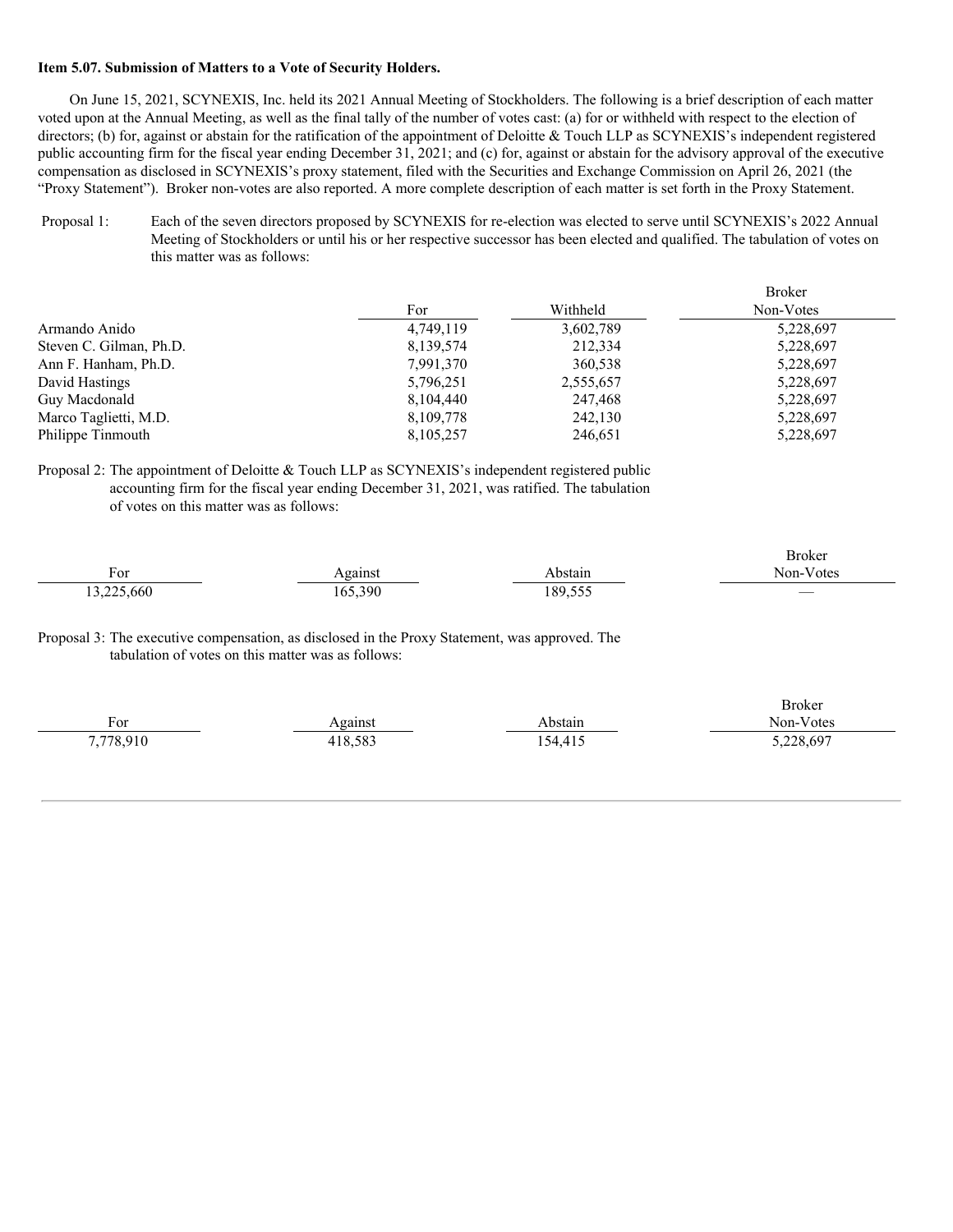#### **Item 5.07. Submission of Matters to a Vote of Security Holders.**

On June 15, 2021, SCYNEXIS, Inc. held its 2021 Annual Meeting of Stockholders. The following is a brief description of each matter voted upon at the Annual Meeting, as well as the final tally of the number of votes cast: (a) for or withheld with respect to the election of directors; (b) for, against or abstain for the ratification of the appointment of Deloitte & Touch LLP as SCYNEXIS's independent registered public accounting firm for the fiscal year ending December 31, 2021; and (c) for, against or abstain for the advisory approval of the executive compensation as disclosed in SCYNEXIS's proxy statement, filed with the Securities and Exchange Commission on April 26, 2021 (the "Proxy Statement"). Broker non-votes are also reported. A more complete description of each matter is set forth in the Proxy Statement.

Proposal 1: Each of the seven directors proposed by SCYNEXIS for re-election was elected to serve until SCYNEXIS's 2022 Annual Meeting of Stockholders or until his or her respective successor has been elected and qualified. The tabulation of votes on this matter was as follows:

|                         |           |           | <b>Broker</b> |
|-------------------------|-----------|-----------|---------------|
|                         | For       | Withheld  | Non-Votes     |
| Armando Anido           | 4,749,119 | 3,602,789 | 5,228,697     |
| Steven C. Gilman, Ph.D. | 8,139,574 | 212,334   | 5,228,697     |
| Ann F. Hanham, Ph.D.    | 7,991,370 | 360,538   | 5,228,697     |
| David Hastings          | 5,796,251 | 2,555,657 | 5,228,697     |
| Guy Macdonald           | 8,104,440 | 247,468   | 5,228,697     |
| Marco Taglietti, M.D.   | 8,109,778 | 242,130   | 5,228,697     |
| Philippe Tinmouth       | 8,105,257 | 246,651   | 5,228,697     |

#### Proposal 2: The appointment of Deloitte & Touch LLP as SCYNEXIS's independent registered public accounting firm for the fiscal year ending December 31, 2021, was ratified. The tabulation of votes on this matter was as follows:

|                      |                  |         | Broker                   |
|----------------------|------------------|---------|--------------------------|
| سم د<br>'O.          | $-210c$          | bstain  | Non-N<br>/ otes          |
| $\sim$<br>13,225,660 | 65.390<br>165.5' | 189.555 | $\overline{\phantom{a}}$ |

Proposal 3: The executive compensation, as disclosed in the Proxy Statement, was approved. The tabulation of votes on this matter was as follows:

|           |         |         | <b>Broker</b> |
|-----------|---------|---------|---------------|
| For       | Against | Abstain | Non-Votes     |
| 7,778,910 | 418,583 | 154,415 | 5,228,697     |